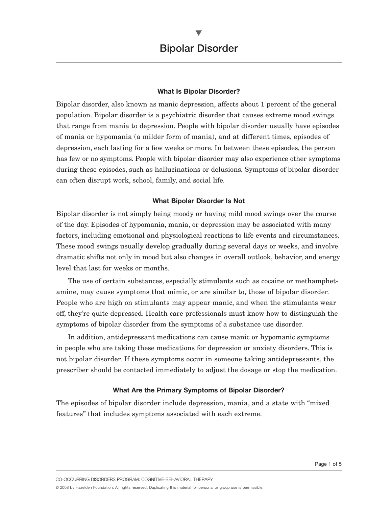#### **What Is Bipolar Disorder?**

Bipolar disorder, also known as manic depression, affects about 1 percent of the general population. Bipolar disorder is a psychiatric disorder that causes extreme mood swings that range from mania to depression. People with bipolar disorder usually have episodes of mania or hypomania (a milder form of mania), and at different times, episodes of depression, each lasting for a few weeks or more. In between these episodes, the person has few or no symptoms. People with bipolar disorder may also experience other symptoms during these episodes, such as hallucinations or delusions. Symptoms of bipolar disorder can often disrupt work, school, family, and social life.

#### **What Bipolar Disorder Is Not**

Bipolar disorder is not simply being moody or having mild mood swings over the course of the day. Episodes of hypomania, mania, or depression may be associated with many factors, including emotional and physiological reactions to life events and circumstances. These mood swings usually develop gradually during several days or weeks, and involve dramatic shifts not only in mood but also changes in overall outlook, behavior, and energy level that last for weeks or months.

The use of certain substances, especially stimulants such as cocaine or methamphetamine, may cause symptoms that mimic, or are similar to, those of bipolar disorder. People who are high on stimulants may appear manic, and when the stimulants wear off, they're quite depressed. Health care professionals must know how to distinguish the symptoms of bipolar disorder from the symptoms of a substance use disorder.

In addition, antidepressant medications can cause manic or hypomanic symptoms in people who are taking these medications for depression or anxiety disorders. This is not bipolar disorder. If these symptoms occur in someone taking antidepressants, the prescriber should be contacted immediately to adjust the dosage or stop the medication.

#### **What Are the Primary Symptoms of Bipolar Disorder?**

The episodes of bipolar disorder include depression, mania, and a state with "mixed features" that includes symptoms associated with each extreme.

CO-OCCURRING DISORDERS PROGRAM: COGNITIVE-BEHAVIORAL THERAPY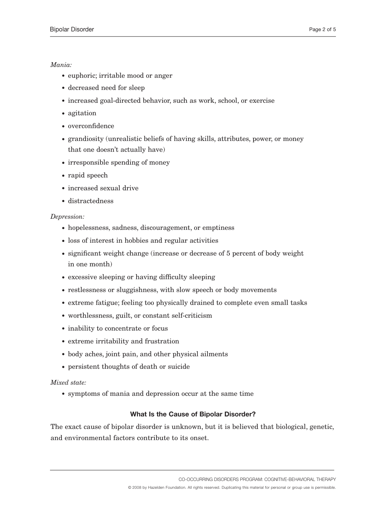# *Mania:*

- euphoric; irritable mood or anger
- decreased need for sleep
- increased goal-directed behavior, such as work, school, or exercise
- agitation
- overconfidence
- grandiosity (unrealistic beliefs of having skills, attributes, power, or money that one doesn't actually have)
- irresponsible spending of money
- rapid speech
- increased sexual drive
- distractedness

### *Depression:*

- hopelessness, sadness, discouragement, or emptiness
- loss of interest in hobbies and regular activities
- significant weight change (increase or decrease of 5 percent of body weight in one month)
- excessive sleeping or having difficulty sleeping
- restlessness or sluggishness, with slow speech or body movements
- extreme fatigue; feeling too physically drained to complete even small tasks
- worthlessness, guilt, or constant self-criticism
- inability to concentrate or focus
- extreme irritability and frustration
- body aches, joint pain, and other physical ailments
- persistent thoughts of death or suicide

# *Mixed state:*

• symptoms of mania and depression occur at the same time

# **What Is the Cause of Bipolar Disorder?**

The exact cause of bipolar disorder is unknown, but it is believed that biological, genetic, and environmental factors contribute to its onset.

CO-OCCURRING DISORDERS PROGRAM: COGNITIVE-BEHAVIORAL THERAPY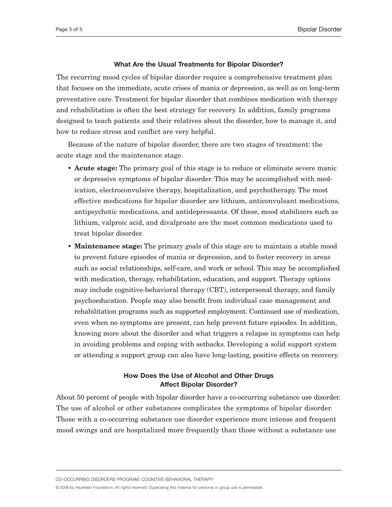#### **What Are the Usual Treatments for Bipolar Disorder?**

The recurring mood cycles of bipolar disorder require a comprehensive treatment plan that focuses on the immediate, acute crises of mania or depression, as well as on long-term preventative care. Treatment for bipolar disorder that combines medication with therapy and rehabilitation is often the best strategy for recovery. In addition, family programs designed to teach patients and their relatives about the disorder, how to manage it, and how to reduce stress and conflict are very helpful.

Because of the nature of bipolar disorder, there are two stages of treatment: the acute stage and the maintenance stage.

- **Acute stage:** The primary goal of this stage is to reduce or eliminate severe manic or depressive symptoms of bipolar disorder. This may be accomplished with medication, electroconvulsive therapy, hospitalization, and psychotherapy. The most effective medications for bipolar disorder are lithium, anticonvulsant medications, antipsychotic medications, and antidepressants. Of these, mood stabilizers such as lithium, valproic acid, and divalproate are the most common medications used to treat bipolar disorder.
- **Maintenance stage:** The primary goals of this stage are to maintain a stable mood to prevent future episodes of mania or depression, and to foster recovery in areas such as social relationships, self-care, and work or school. This may be accomplished with medication, therapy, rehabilitation, education, and support. Therapy options may include cognitive-behavioral therapy (CBT), interpersonal therapy, and family psychoeducation. People may also benefit from individual case management and rehabilitation programs such as supported employment. Continued use of medication, even when no symptoms are present, can help prevent future episodes. In addition, knowing more about the disorder and what triggers a relapse in symptoms can help in avoiding problems and coping with setbacks. Developing a solid support system or attending a support group can also have long-lasting, positive effects on recovery.

# **How Does the Use of Alcohol and Other Drugs Affect Bipolar Disorder?**

About 50 percent of people with bipolar disorder have a co-occurring substance use disorder. The use of alcohol or other substances complicates the symptoms of bipolar disorder. Those with a co-occurring substance use disorder experience more intense and frequent mood swings and are hospitalized more frequently than those without a substance use

CO-OCCURRING DISORDERS PROGRAM: COGNITIVE-BEHAVIORAL THERAPY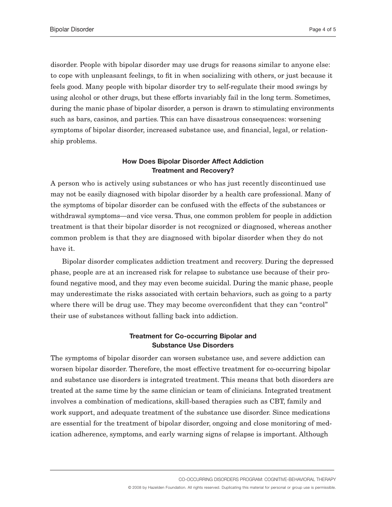disorder. People with bipolar disorder may use drugs for reasons similar to anyone else: to cope with unpleasant feelings, to fit in when socializing with others, or just because it feels good. Many people with bipolar disorder try to self-regulate their mood swings by using alcohol or other drugs, but these efforts invariably fail in the long term. Sometimes, during the manic phase of bipolar disorder, a person is drawn to stimulating environments such as bars, casinos, and parties. This can have disastrous consequences: worsening symptoms of bipolar disorder, increased substance use, and financial, legal, or relationship problems.

# **How Does Bipolar Disorder Affect Addiction Treatment and Recovery?**

A person who is actively using substances or who has just recently discontinued use may not be easily diagnosed with bipolar disorder by a health care professional. Many of the symptoms of bipolar disorder can be confused with the effects of the substances or withdrawal symptoms—and vice versa. Thus, one common problem for people in addiction treatment is that their bipolar disorder is not recognized or diagnosed, whereas another common problem is that they are diagnosed with bipolar disorder when they do not have it.

Bipolar disorder complicates addiction treatment and recovery. During the depressed phase, people are at an increased risk for relapse to substance use because of their profound negative mood, and they may even become suicidal. During the manic phase, people may underestimate the risks associated with certain behaviors, such as going to a party where there will be drug use. They may become overconfident that they can "control" their use of substances without falling back into addiction.

### **Treatment for Co-occurring Bipolar and Substance Use Disorders**

The symptoms of bipolar disorder can worsen substance use, and severe addiction can worsen bipolar disorder. Therefore, the most effective treatment for co-occurring bipolar and substance use disorders is integrated treatment. This means that both disorders are treated at the same time by the same clinician or team of clinicians. Integrated treatment involves a combination of medications, skill-based therapies such as CBT, family and work support, and adequate treatment of the substance use disorder. Since medications are essential for the treatment of bipolar disorder, ongoing and close monitoring of medication adherence, symptoms, and early warning signs of relapse is important. Although

CO-OCCURRING DISORDERS PROGRAM: COGNITIVE-BEHAVIORAL THERAPY